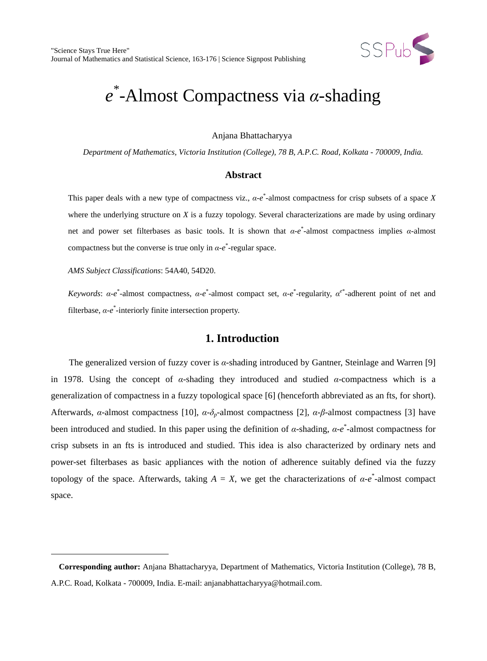

# *e* \* -Almost Compactness via *α*-shading

Anjana Bhattacharyya

*Department of Mathematics, Victoria Institution (College), 78 B, A.P.C. Road, Kolkata - 700009, India.*

#### **Abstract**

This paper deals with a new type of compactness viz., *α*-*e* \* -almost compactness for crisp subsets of a space *X* where the underlying structure on *X* is a fuzzy topology. Several characterizations are made by using ordinary net and power set filterbases as basic tools. It is shown that *α*-*e* \* -almost compactness implies *α*-almost compactness but the converse is true only in  $\alpha$ -*e*<sup>\*</sup>-regular space.

*AMS Subject Classifications*: 54A40, 54D20.

 $\ddot{ }$ 

*Keywords*: *α*-*e*<sup>\*</sup>-almost compactness, *α*-*e*<sup>\*</sup>-almost compact set, *α*-*e*<sup>\*</sup>-regularity, *α*<sup>*e*\*</sup>-adherent point of net and filterbase, *α*-*e* \* -interiorly finite intersection property.

### **1. Introduction**

The generalized version of fuzzy cover is *α*-shading introduced by Gantner, Steinlage and Warren [9] in 1978. Using the concept of *α*-shading they introduced and studied *α*-compactness which is a generalization of compactness in a fuzzy topological space [6] (henceforth abbreviated as an fts, for short). Afterwards, *α*-almost compactness [10], *α*-*δp-*almost compactness [2], *α*-*β*-almost compactness [3] have been introduced and studied. In this paper using the definition of *α*-shading, *α*-*e* \* -almost compactness for crisp subsets in an fts is introduced and studied. This idea is also characterized by ordinary nets and power-set filterbases as basic appliances with the notion of adherence suitably defined via the fuzzy topology of the space. Afterwards, taking  $A = X$ , we get the characterizations of  $\alpha$ -*e*<sup>\*</sup>-almost compact space.

<span id="page-0-0"></span>**Corresponding author:** Anjana Bhattacharyya, Department of Mathematics, Victoria Institution (College), 78 B, A.P.C. Road, Kolkata - 700009, India. E-mail: anjanabhattacharyya@hotmail.com.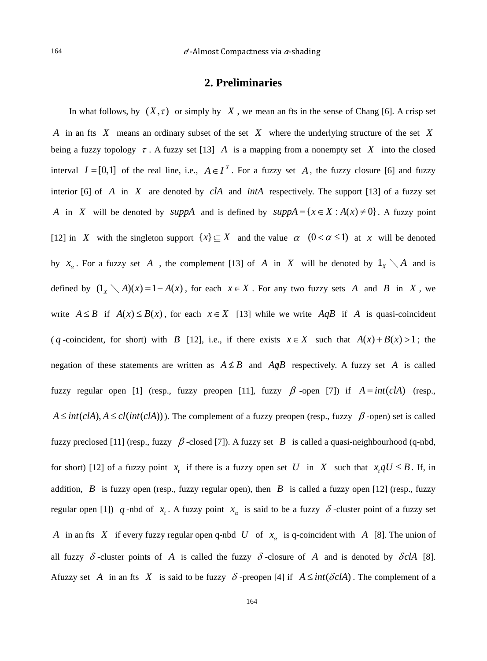#### **2. Preliminaries**

In what follows, by  $(X, \tau)$  or simply by X, we mean an fts in the sense of Chang [6]. A crisp set *A* in an fts *X* means an ordinary subset of the set *X* where the underlying structure of the set *X* being a fuzzy topology  $\tau$ . A fuzzy set [13] *A* is a mapping from a nonempty set *X* into the closed interval  $I = [0, 1]$  of the real line, i.e.,  $A \in I^X$ . For a fuzzy set *A*, the fuzzy closure [6] and fuzzy interior [6] of *A* in *X* are denoted by *clA* and *intA* respectively. The support [13] of a fuzzy set *A* in *X* will be denoted by *suppA* and is defined by  $suppA = \{x \in X : A(x) \neq 0\}$ . A fuzzy point [12] in *X* with the singleton support  $\{x\} \subseteq X$  and the value  $\alpha$   $(0 < \alpha \le 1)$  at *x* will be denoted by  $x_{\alpha}$ . For a fuzzy set *A*, the complement [13] of *A* in *X* will be denoted by  $1_{\chi} \setminus A$  and is defined by  $(1 \times \ A)(x) = 1 - A(x)$ , for each  $x \in X$ . For any two fuzzy sets *A* and *B* in *X*, we write  $A \leq B$  if  $A(x) \leq B(x)$ , for each  $x \in X$  [13] while we write  $A \circ B$  if *A* is quasi-coincident ( *q* -coincident, for short) with *B* [12], i.e., if there exists  $x \in X$  such that  $A(x) + B(x) > 1$ ; the negation of these statements are written as  $A \not\leq B$  and  $A \not\in B$  respectively. A fuzzy set *A* is called fuzzy regular open [1] (resp., fuzzy preopen [11], fuzzy  $\beta$ -open [7]) if  $A = int(cA)$  (resp.,  $A \leq int(cIA), A \leq cl(int(cIA))$ ). The complement of a fuzzy preopen (resp., fuzzy  $\beta$ -open) set is called fuzzy preclosed [11] (resp., fuzzy  $\beta$ -closed [7]). A fuzzy set *B* is called a quasi-neighbourhood (q-nbd, for short) [12] of a fuzzy point  $x_t$  if there is a fuzzy open set *U* in *X* such that  $x_t qU \leq B$ . If, in addition, *B* is fuzzy open (resp., fuzzy regular open), then *B* is called a fuzzy open [12] (resp., fuzzy regular open [1]) *q*-nbd of  $x_t$ . A fuzzy point  $x_\alpha$  is said to be a fuzzy  $\delta$ -cluster point of a fuzzy set *A* in an fts *X* if every fuzzy regular open q-nbd *U* of  $x_\alpha$  is q-coincident with *A* [8]. The union of all fuzzy  $\delta$ -cluster points of *A* is called the fuzzy  $\delta$ -closure of *A* and is denoted by  $\delta c/A$  [8]. Afuzzy set *A* in an fts *X* is said to be fuzzy  $\delta$ -preopen [4] if  $A \leq int(\delta cA)$ . The complement of a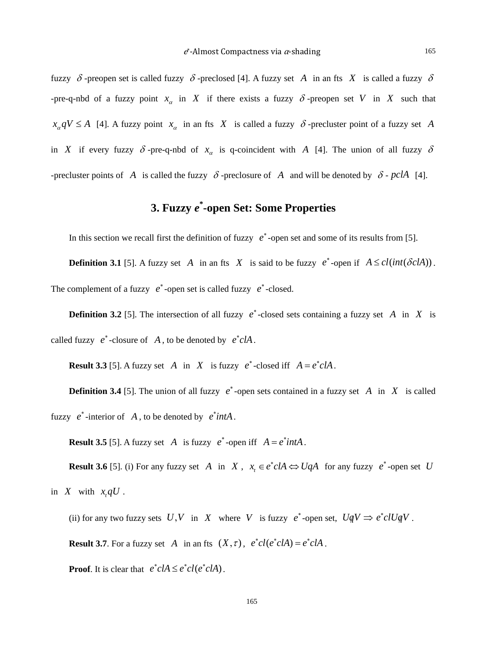fuzzy  $\delta$ -preopen set is called fuzzy  $\delta$ -preclosed [4]. A fuzzy set A in an fts X is called a fuzzy  $\delta$ -pre-q-nbd of a fuzzy point  $x_\alpha$  in X if there exists a fuzzy  $\delta$ -preopen set V in X such that  $x_{\alpha} qV \leq A$  [4]. A fuzzy point  $x_{\alpha}$  in an fts *X* is called a fuzzy  $\delta$  -precluster point of a fuzzy set *A* in *X* if every fuzzy  $\delta$ -pre-q-nbd of  $x_\alpha$  is q-coincident with *A* [4]. The union of all fuzzy  $\delta$ -precluster points of *A* is called the fuzzy  $\delta$ -preclosure of *A* and will be denoted by  $\delta$ -pclA [4].

## **3. Fuzzy** *e* **\* -open Set: Some Properties**

In this section we recall first the definition of fuzzy  $e^*$ -open set and some of its results from [5].

**Definition 3.1** [5]. A fuzzy set *A* in an fts *X* is said to be fuzzy *e*<sup>\*</sup>-open if  $A \leq cl(int(\delta c | A))$ . The complement of a fuzzy  $e^*$ -open set is called fuzzy  $e^*$ -closed.

**Definition 3.2** [5]. The intersection of all fuzzy  $e^*$ -closed sets containing a fuzzy set *A* in *X* is called fuzzy  $e^*$ -closure of  $A$ , to be denoted by  $e^*cA$ .

**Result 3.3** [5]. A fuzzy set *A* in *X* is fuzzy  $e^*$ -closed iff  $A = e^* c I A$ .

**Definition 3.4** [5]. The union of all fuzzy  $e^*$ -open sets contained in a fuzzy set *A* in *X* is called fuzzy  $e^*$ -interior of *A*, to be denoted by  $e^*intA$ .

**Result 3.5** [5]. A fuzzy set *A* is fuzzy  $e^*$ -open iff  $A = e^* int A$ .

**Result 3.6** [5]. (i) For any fuzzy set *A* in *X*,  $x_t \in e^* c A \Leftrightarrow U q A$  for any fuzzy  $e^*$ -open set *U* in  $X$  with  $x,qU$ .

(ii) for any two fuzzy sets  $U, V$  in  $X$  where  $V$  is fuzzy  $e^*$ -open set,  $UqV \Rightarrow e^*clUqV$ .

**Result 3.7**. For a fuzzy set *A* in an fts  $(X, \tau)$ ,  $e^{\tau}cl(e^{\tau}cIA) = e^{\tau}cIA$ .

**Proof.** It is clear that  $e^*cA \leq e^*cI(e^*cA)$ .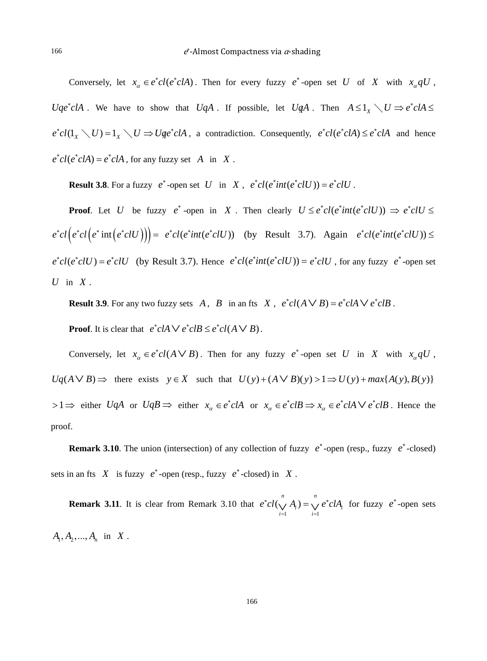Conversely, let  $x_{\alpha} \in e^*cl(e^*clA)$ . Then for every fuzzy  $e^*$ -open set *U* of *X* with  $x_{\alpha}qU$ , *Uqe*<sup>\*</sup>*clA* . We have to show that *UqA* . If possible, let *UqA* . Then  $A \leq 1_X \setminus U \Rightarrow e^* c I A \leq$  $e^*cl(1_x \setminus U) = 1_x \setminus U \Rightarrow Uqe^*clA$ , a contradiction. Consequently,  $e^*cl(e^*clA) \leq e^*clA$  and hence  $e^*cl(e^*clA) = e^*clA$ , for any fuzzy set *A* in *X*.

**Result 3.8**. For a fuzzy  $e^*$ -open set *U* in *X*,  $e^*cl(e^*int(e^*clU)) = e^*clU$ .

**Proof.** Let *U* be fuzzy  $e^*$  -open in *X*. Then clearly  $U \leq e^*cl(e^*int(e^*clU)) \Rightarrow e^*clU \leq$  $e^*cl(e^*cl(e^*int(e^*clU))) = e^*cl(e^*int(e^*clU))$  (by Result 3.7). Again  $e^*cl(e^*int(e^*clU)) \le$  $e^*cl(e^*clU) = e^*clU$  (by Result 3.7). Hence  $e^*cl(e^*int(e^*clU)) = e^*clU$ , for any fuzzy  $e^*$ -open set *U* in *X* .

**Result 3.9**. For any two fuzzy sets *A*, *B* in an fts *X*,  $e^*cl(A \vee B) = e^*clA \vee e^*clB$ .

**Proof.** It is clear that  $e^*cA \vee e^*cB \leq e^*cI(A \vee B)$ .

Conversely, let  $x_a \in e^*cl(A \vee B)$ . Then for any fuzzy  $e^*$ -open set *U* in *X* with  $x_a qU$ ,  $Uq(A \vee B) \Rightarrow$  there exists  $y \in X$  such that  $U(y)+(A \vee B)(y) > 1 \Rightarrow U(y)+max\{A(y), B(y)\}$  $> 1 \Rightarrow$  either *UqA* or  $UqB \Rightarrow$  either  $x_{\alpha} \in e^* cI A$  or  $x_{\alpha} \in e^* cI B \Rightarrow x_{\alpha} \in e^* cI A \vee e^* cI B$ . Hence the proof.

**Remark 3.10**. The union (intersection) of any collection of fuzzy  $e^*$ -open (resp., fuzzy  $e^*$ -closed) sets in an fts  $X$  is fuzzy  $e^*$ -open (resp., fuzzy  $e^*$ -closed) in  $X$ .

**Remark 3.11**. It is clear from Remark 3.10 that  $i=1$  $\left(\bigvee^n A_i\right) = \bigvee^n$  $\bigvee_{i=1}^{n} \bigvee_{i=1}^{n}$  i<sub>i</sub>  $e^*cl(\bigvee A_i) = \bigvee e^*clA_i$  $(\bigvee_{i=1} A_i) = \bigvee_{i=1} e^* c l A_i$  for fuzzy  $e^*$ -open sets  $A_1, A_2, ..., A_n$  in *X*.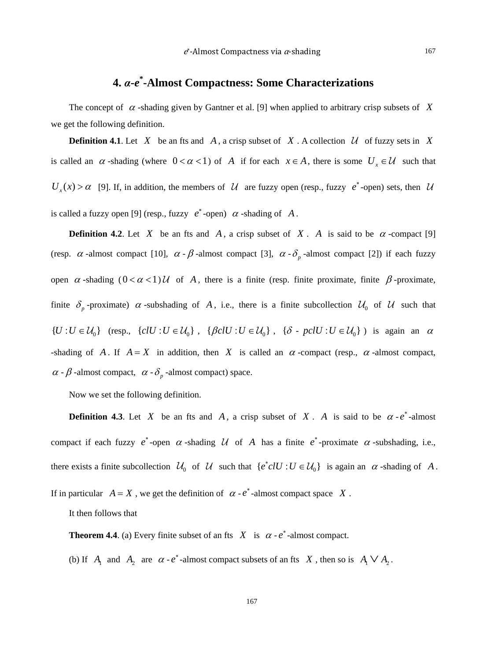## **4.** *α***-***e* **\* -Almost Compactness: Some Characterizations**

The concept of  $\alpha$ -shading given by Gantner et al. [9] when applied to arbitrary crisp subsets of X we get the following definition.

**Definition 4.1**. Let *X* be an fts and *A*, a crisp subset of *X*. A collection  $\mathcal{U}$  of fuzzy sets in *X* is called an  $\alpha$ -shading (where  $0 < \alpha < 1$ ) of *A* if for each  $x \in A$ , there is some  $U_x \in \mathcal{U}$  such that  $U_x(x) > \alpha$  [9]. If, in addition, the members of  $\mathcal U$  are fuzzy open (resp., fuzzy  $e^*$ -open) sets, then  $\mathcal U$ is called a fuzzy open [9] (resp., fuzzy  $e^*$ -open)  $\alpha$ -shading of A.

**Definition 4.2.** Let *X* be an fts and *A*, a crisp subset of *X*. *A* is said to be  $\alpha$ -compact [9] (resp.  $\alpha$  -almost compact [10],  $\alpha - \beta$  -almost compact [3],  $\alpha - \delta_p$  -almost compact [2]) if each fuzzy open  $\alpha$ -shading  $(0 < \alpha < 1)$ U of A, there is a finite (resp. finite proximate, finite  $\beta$ -proximate, finite  $\delta_p$ -proximate)  $\alpha$ -subshading of A, i.e., there is a finite subcollection  $\mathcal{U}_0$  of  $\mathcal{U}$  such that  ${U : U \in \mathcal{U}_0}$  (resp.,  ${c} U : U \in \mathcal{U}_0$ ,  ${c} U : U \in \mathcal{U}_0$ ,  ${\delta \cdot pcU : U \in \mathcal{U}_0}$ ) is again an  $\alpha$ -shading of *A*. If  $A = X$  in addition, then *X* is called an  $\alpha$  -compact (resp.,  $\alpha$  -almost compact,  $\alpha$  -  $\beta$  -almost compact,  $\alpha$  -  $\delta_p$  -almost compact) space.

Now we set the following definition.

**Definition 4.3**. Let *X* be an fts and *A*, a crisp subset of *X*. *A* is said to be  $\alpha$ -*e*<sup>\*</sup>-almost compact if each fuzzy  $e^*$ -open  $\alpha$ -shading  $\mathcal U$  of  $A$  has a finite  $e^*$ -proximate  $\alpha$ -subshading, i.e., there exists a finite subcollection  $\mathcal{U}_0$  of  $\mathcal{U}$  such that  $\{e^*clU : U \in \mathcal{U}_0\}$  is again an  $\alpha$ -shading of A.

If in particular  $A = X$ , we get the definition of  $\alpha - e^*$ -almost compact space X.

It then follows that

**Theorem 4.4**. (a) Every finite subset of an fts *X* is  $\alpha$  -  $e^*$ -almost compact.

(b) If  $A_1$  and  $A_2$  are  $\alpha \cdot e^*$ -almost compact subsets of an fts  $X$ , then so is  $A_1 \vee A_2$ .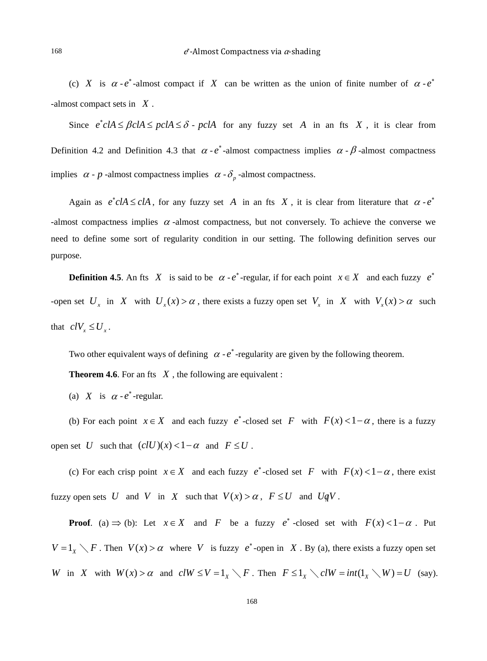(c) *X* is  $\alpha - e^*$ -almost compact if *X* can be written as the union of finite number of  $\alpha - e^*$ -almost compact sets in *X* .

Since  $e^* c I A \leq \beta c I A \leq \gamma c I A \leq \delta$  -  $\gamma c I A$  for any fuzzy set *A* in an fts *X*, it is clear from Definition 4.2 and Definition 4.3 that  $\alpha$  -  $e^*$ -almost compactness implies  $\alpha$  -  $\beta$ -almost compactness implies  $\alpha$  - *p* -almost compactness implies  $\alpha$  -  $\delta_p$  -almost compactness.

Again as  $e^*cA \leq cIA$ , for any fuzzy set A in an fts X, it is clear from literature that  $\alpha - e^*$ -almost compactness implies  $\alpha$  -almost compactness, but not conversely. To achieve the converse we need to define some sort of regularity condition in our setting. The following definition serves our purpose.

**Definition 4.5**. An fts *X* is said to be  $\alpha$  -  $e^*$ -regular, if for each point  $x \in X$  and each fuzzy  $e^*$ -open set  $U_x$  in *X* with  $U_x(x) > \alpha$ , there exists a fuzzy open set  $V_x$  in *X* with  $V_x(x) > \alpha$  such that  $cIV$ <sub>x</sub>  $\leq U$ <sub>x</sub>.

Two other equivalent ways of defining  $\alpha - e^*$ -regularity are given by the following theorem.

**Theorem 4.6**. For an fts  $X$ , the following are equivalent :

(a) *X* is  $\alpha - e^*$ -regular.

(b) For each point  $x \in X$  and each fuzzy  $e^*$ -closed set *F* with  $F(x) < 1 - \alpha$ , there is a fuzzy open set *U* such that  $(clU)(x) < 1-\alpha$  and  $F \leq U$ .

(c) For each crisp point  $x \in X$  and each fuzzy  $e^*$ -closed set *F* with  $F(x) < 1 - \alpha$ , there exist fuzzy open sets *U* and *V* in *X* such that  $V(x) > \alpha$ ,  $F \leq U$  and  $UqV$ .

**Proof.** (a)  $\Rightarrow$  (b): Let  $x \in X$  and *F* be a fuzzy *e*<sup>\*</sup>-closed set with  $F(x) < 1 - \alpha$ . Put  $V = 1_X \setminus F$ . Then  $V(x) > \alpha$  where V is fuzzy  $e^*$ -open in X. By (a), there exists a fuzzy open set *W* in *X* with  $W(x) > \alpha$  and  $clW \le V = 1_X \setminus F$ . Then  $F \le 1_X \setminus clW = int(1_X \setminus W) = U$  (say).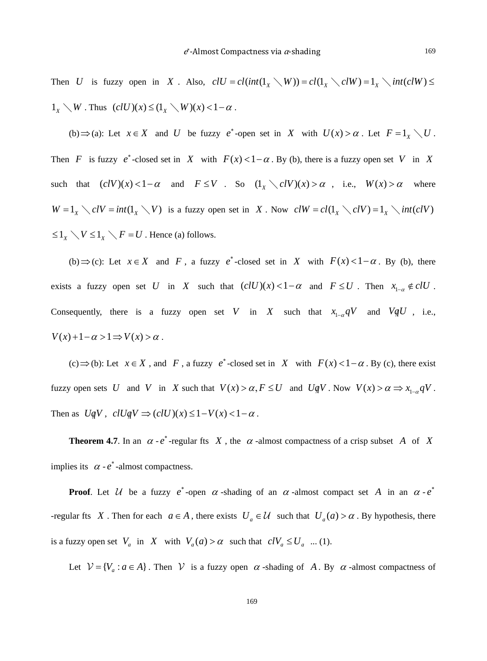Then *U* is fuzzy open in *X*. Also,  $clU = cl(int(1_X \setminus W)) = cl(1_X \setminus clW) = 1_X \setminus int(clW) \le$  $1_X \setminus W$ . Thus  $(clU)(x) \leq (1_X \setminus W)(x) < 1-\alpha$ .

(b)  $\Rightarrow$  (a): Let  $x \in X$  and *U* be fuzzy  $e^*$ -open set in *X* with  $U(x) > \alpha$ . Let  $F = 1_x \setminus U$ . Then *F* is fuzzy  $e^*$ -closed set in *X* with  $F(x) < 1 - \alpha$ . By (b), there is a fuzzy open set *V* in *X* such that  $(clV)(x) < 1 - \alpha$  and  $F \leq V$ . So  $(1_x \setminus clV)(x) > \alpha$ , i.e.,  $W(x) > \alpha$  where  $W = 1_X \setminus cIV = int(1_X \setminus V)$  is a fuzzy open set in *X*. Now  $clW = cl(1_X \setminus cIV) = 1_X \setminus int(cIV)$  $\leq 1_X \setminus V \leq 1_X \setminus F = U$ . Hence (a) follows.

(b)  $\Rightarrow$  (c): Let  $x \in X$  and *F*, a fuzzy *e*<sup>\*</sup>-closed set in *X* with  $F(x) < 1 - \alpha$ . By (b), there exists a fuzzy open set *U* in *X* such that  $(clU)(x) < 1 - \alpha$  and  $F \leq U$ . Then  $x_{1-\alpha} \notin clU$ . Consequently, there is a fuzzy open set *V* in *X* such that  $x_{1-a}qV$  and  $VqU$ , i.e.,  $V(x) + 1 - \alpha > 1 \Rightarrow V(x) > \alpha$ .

(c)  $\Rightarrow$  (b): Let  $x \in X$ , and *F*, a fuzzy *e*<sup>\*</sup>-closed set in *X* with  $F(x) < 1 - \alpha$ . By (c), there exist fuzzy open sets *U* and *V* in *X* such that  $V(x) > \alpha, F \leq U$  and  $UqV$ . Now  $V(x) > \alpha \Rightarrow x_{1-\alpha}qV$ . Then as  $UqV$ ,  $clUqV \Rightarrow (clU)(x) \leq 1-V(x) < 1-\alpha$ .

**Theorem 4.7**. In an  $\alpha$  -  $e^*$ -regular fts *X*, the  $\alpha$ -almost compactness of a crisp subset *A* of *X* implies its  $\alpha$  -  $e^*$ -almost compactness.

**Proof.** Let  $\mathcal{U}$  be a fuzzy  $e^*$ -open  $\alpha$ -shading of an  $\alpha$ -almost compact set  $A$  in an  $\alpha$ - $e^*$ -regular fts *X*. Then for each  $a \in A$ , there exists  $U_a \in \mathcal{U}$  such that  $U_a(a) > \alpha$ . By hypothesis, there is a fuzzy open set  $V_a$  in  $X$  with  $V_a(a) > \alpha$  such that  $c_i V_a \leq U_a$  ... (1).

Let  $V = \{V_a : a \in A\}$ . Then V is a fuzzy open  $\alpha$ -shading of A. By  $\alpha$ -almost compactness of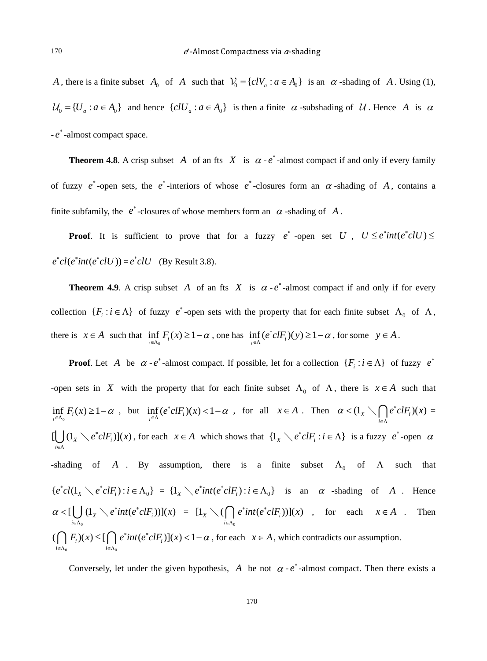*A*, there is a finite subset  $A_0$  of *A* such that  $V_0 = \{c/V_a : a \in A_0\}$  is an  $\alpha$ -shading of *A*. Using (1),  $\mathcal{U}_0 = \{U_a : a \in A_0\}$  and hence  $\{cIU_a : a \in A_0\}$  is then a finite  $\alpha$ -subshading of  $\mathcal{U}$ . Hence A is  $\alpha$ - *e*<sup>∗</sup> -almost compact space.

**Theorem 4.8**. A crisp subset *A* of an fts *X* is  $\alpha$  -  $e^*$ -almost compact if and only if every family of fuzzy  $e^*$ -open sets, the  $e^*$ -interiors of whose  $e^*$ -closures form an  $\alpha$ -shading of *A*, contains a finite subfamily, the  $e^*$ -closures of whose members form an  $\alpha$ -shading of A.

**Proof.** It is sufficient to prove that for a fuzzy  $e^*$  -open set *U*,  $U \leq e^*int(e^* c l U) \leq$  $e^*cl(e^*int(e^*clU)) = e^*clU$  (By Result 3.8).

**Theorem 4.9.** A crisp subset A of an fts X is  $\alpha$  -  $e^*$ -almost compact if and only if for every collection  $\{F_i : i \in \Lambda\}$  of fuzzy  $e^*$ -open sets with the property that for each finite subset  $\Lambda_0$  of  $\Lambda$ , there is  $x \in A$  such that  $\inf_{i \in \Lambda_0} F_i(x) \ge 1 - \alpha$ , one has  $\inf_{i \in \Lambda} (e^* c l F_i)(y) \ge 1 - \alpha$ , for some  $y \in A$ .

**Proof**. Let *A* be  $\alpha$  -  $e^*$  -almost compact. If possible, let for a collection  $\{F_i : i \in \Lambda\}$  of fuzzy  $e^*$ -open sets in *X* with the property that for each finite subset  $\Lambda_0$  of  $\Lambda$ , there is  $x \in A$  such that  $\inf_{x \in \Lambda_0} F_i(x) \ge 1 - \alpha$ , but  $\inf_{x \in \Lambda} (e^* c l F_i)(x) < 1 - \alpha$ , for all  $x \in A$ . Then  $\alpha < (1_x \setminus \bigcap_{i \in \Lambda} e^* c l F_i)(x)$ *i*  $\alpha < 1$ <sub>x</sub>  $\cap$   $e^* c l F_i(x)$  $\langle 1_x \setminus \bigcap_{i \in \Lambda} e^* c l F_i (x) \rangle =$  $[\bigcup (1_{X} \setminus e^*clF_i)](x)$ *i*  $e^{\ast}clF_i$ <sup>x</sup> $(x$  $\bigcup_{i \in \Lambda} (1_x \setminus e^* c l F_i) (x)$ , for each  $x \in A$  which shows that  $\{1_x \setminus e^* c l F_i : i \in \Lambda\}$  is a fuzzy  $e^*$ -open  $\alpha$ -shading of *A* . By assumption, there is a finite subset  $\Lambda_0$  of  $\Lambda$  such that  ${e^*cl(1_x \setminus e^*clF_i) : i \in \Lambda_0} = {1_x \setminus e^*int(e^*clF_i) : i \in \Lambda_0}$  is an  $\alpha$  -shading of *A*. Hence  $\mathbf{0}$  $\left[\bigcup_{X} (1_{X} \setminus e^{*} \text{int}(e^{*} \text{cl} F_{i}))\right](x)$ *i*  $\alpha < [\bigcup_{x} (\mathbb{1}_{x} \setminus e^* int(e^* c l F_i))]$  (x  $\langle\subset[\bigcup_{i\in\Lambda_0}(1_{\chi}\setminus e^*int(e^*c lF_i))](x) = [1_{\chi}\setminus(\bigcap_{i\in\Lambda_0}$  $[1_x \setminus ( \bigcap e^* int(e^* c l F_i))] (x)$ *i*  $e^*int(e^*c lF_i))]$ (x  $\setminus (\bigcap_{i \in \Lambda_0} e^* int(e^* c l F_i))] (x)$ , for each  $x \in A$ . Then 0  $\iota \in \Lambda_0$  $(( \bigcap F_i)(x) \leq [ \bigcap e^* int(e^* c l F_i)](x) < 1$  $i \in \Lambda_0$  *i*  $F_i(x) \leq [\bigcap e^* int(e^* c l F_i)](x) < 1-\alpha$  $\bigcap_{i \in \Lambda_0} F_i(x) \leq [\bigcap_{i \in \Lambda_0} e^* int(e^* c l F_i)](x) < 1 - \alpha$ , for each  $x \in A$ , which contradicts our assumption.

Conversely, let under the given hypothesis, A be not  $\alpha \cdot e^*$ -almost compact. Then there exists a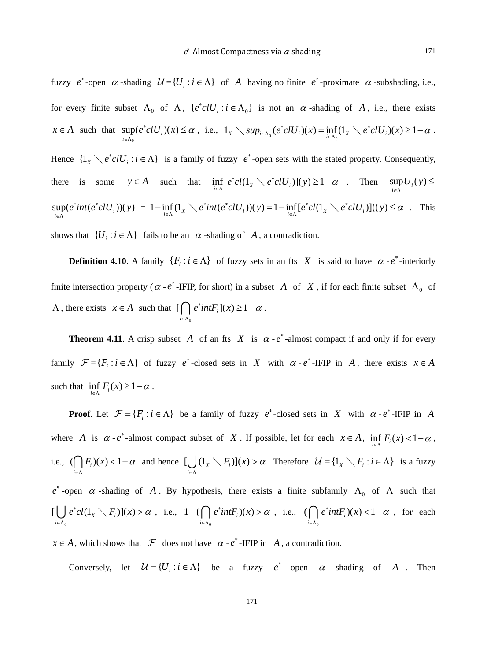fuzzy  $e^*$ -open  $\alpha$ -shading  $\mathcal{U} = \{U_i : i \in \Lambda\}$  of A having no finite  $e^*$ -proximate  $\alpha$ -subshading, i.e., for every finite subset  $\Lambda_0$  of  $\Lambda$ ,  $\{e^*c l U_i : i \in \Lambda_0\}$  is not an  $\alpha$ -shading of A, i.e., there exists  $x \in A$  such that  $\sup_{i \in \Lambda_0} (e^*clU_i)(x)$  $e^{\ast}clU_{i}(x)\leq \alpha$  $sup(e^* c l U_i)(x) \leq \alpha$ , i.e.,  $1_x \setminus sup_{i \in \Lambda_0}(e^* c l U_i)(x) = \inf_{i \in \Lambda_0} (1_x \setminus e^* c l U_i)(x) \geq 1 - \alpha$ .

Hence  $\{1_x \setminus e^* c l U_i : i \in \Lambda\}$  is a family of fuzzy  $e^*$ -open sets with the stated property. Consequently, there is some  $y \in A$  such that  $\inf_{i \in \Lambda} [e^* cl(1_X \setminus e^* cl U_i)](y) \ge 1 - \alpha$ . Then  $\sup_{i \in \Lambda} U_i(y)$  $U_i(y)$ ∈Λ ≤  $\sup_{i \in \Lambda} (e^*int(e^*clU_i))(y)$  $\sup_{x \in \Lambda} (e^* \text{cl} U_i)(y) = 1 - \inf_{i \in \Lambda} (1_x \setminus e^* \text{int} (e^* \text{cl} U_i))(y) = 1 - \inf_{i \in \Lambda} [e^* \text{cl} (1_x \setminus e^* \text{cl} U_i)]((y) \leq \alpha$ . This shows that  $\{U_i : i \in \Lambda\}$  fails to be an  $\alpha$ -shading of A, a contradiction.

**Definition 4.10**. A family  $\{F_i : i \in \Lambda\}$  of fuzzy sets in an fts *X* is said to have  $\alpha \cdot e^*$ -interiorly finite intersection property ( $\alpha$  -  $e^*$ -IFIP, for short) in a subset *A* of *X*, if for each finite subset  $\Lambda_0$  of  $\Lambda$ , there exists  $x \in A$  such that  $\mathbf 0$  $[\int e^*intF_i](x) \geq 1$ *i*  $e^{\ast}$ *intF*<sub>*i*</sub>](*x*)  $\geq$  1 –  $\alpha$  $\bigcap_{i\in\Lambda_0}e^*intF_i(x)\geq 1-\alpha$ .

**Theorem 4.11**. A crisp subset *A* of an fts *X* is  $\alpha - e^*$ -almost compact if and only if for every family  $\mathcal{F} = \{F_i : i \in \Lambda\}$  of fuzzy  $e^*$ -closed sets in *X* with  $\alpha$ - $e^*$ -IFIP in *A*, there exists  $x \in A$ such that  $\inf_{i \in \Lambda} F_i(x) \geq 1 - \alpha$ .

**Proof**. Let  $\mathcal{F} = \{F_i : i \in \Lambda\}$  be a family of fuzzy  $e^*$ -closed sets in *X* with  $\alpha - e^*$ -IFIP in *A* where *A* is  $\alpha \cdot e^*$ -almost compact subset of *X*. If possible, let for each  $x \in A$ ,  $\inf_{i \in \Lambda} F_i(x) < 1 - \alpha$ , i.e.,  $(f \mid F_i)(x) < 1$ *i*  $F_i(x) < 1 - \alpha$  $\bigcap_{i \in \Lambda} F_i(x) < 1 - \alpha$  and hence  $\left[\bigcup_{i \in \Lambda} (\mathbb{1}_X \setminus F_i)(x)\right]$  $F_i$ )] $(x) > \alpha$  $\bigcup_{i \in \Lambda} (1_x \setminus F_i)(x) > \alpha$ . Therefore  $\mathcal{U} = \{1_x \setminus F_i : i \in \Lambda\}$  is a fuzzy  $e^*$ -open  $\alpha$ -shading of *A*. By hypothesis, there exists a finite subfamily  $\Lambda_0$  of  $\Lambda$  such that  $\mathbf{0}$  $[\bigcup e^*cl(1_x \setminus F_i)](x)$ *i*  $e^{\ast}cl(1_{x} \setminus F_{i})](x) > \alpha$  $\bigcup_{i \in \Lambda_0} e^* cl(1_X \setminus F_i)](x) > \alpha$ , i.e.,  $1 - (\bigcap_{i \in \Lambda_0}$  $1 - ( \bigcap e^* int F_i)(x)$ *i*  $e^*intF_i(x) > \alpha$  $-(\bigcap_{i\in\Lambda_0}e^*intF_i)(x) > \alpha$ , i.e.,  $(\bigcap_{i\in\Lambda_0}$  $(( \ \ ) e^*intF_i(x) < 1$ *i*  $e^*intF_i(x) < 1-\alpha$  $\bigcap_{i \in \Lambda_0} e^* int F_i(x) < 1 - \alpha$ , for each

 $x \in A$ , which shows that  $\mathcal F$  does not have  $\alpha \cdot e^*$ -IFIP in *A*, a contradiction.

Conversely, let  $\mathcal{U} = \{U_i : i \in \Lambda\}$  be a fuzzy  $e^*$  -open  $\alpha$  -shading of A. Then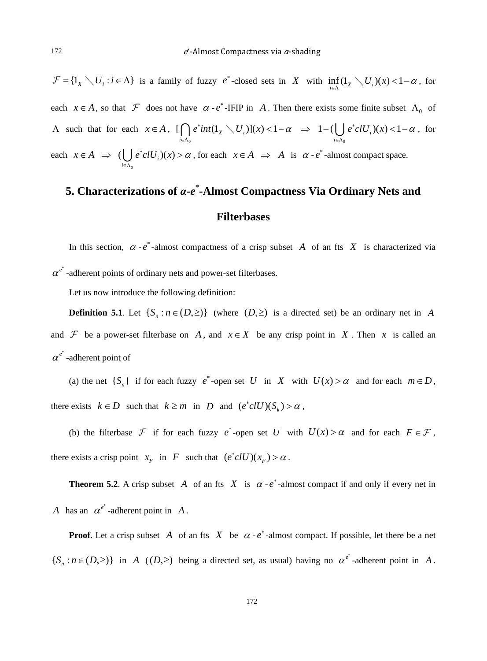${\cal F} = \{1_X \setminus U_i : i \in \Lambda\}$  is a family of fuzzy  $e^*$ -closed sets in *X* with  $\inf_{i \in \Lambda} (1_X \setminus U_i)(x) < 1 - \alpha$ , for each  $x \in A$ , so that  $\mathcal F$  does not have  $\alpha \cdot e^*$ -IFIP in *A*. Then there exists some finite subset  $\Lambda_0$  of  $\Lambda$  such that for each  $x \in A$ ,  $\boldsymbol{0}$  $[ \int e^x int(1_X \setminus U_i)](x) < 1$ *i*  $e^*int(1_X \setminus U_i)](x) < 1-\alpha$  $\bigcap_{i\in\Lambda_0}e^*int(1_X\setminus U_i)](x) < 1-\alpha \Rightarrow 1-(\bigcup_{i\in\Lambda_0}$  $1 - (\bigcup e^* c l U_i)(x) < 1$ *i*  $e^*clU_i(x) < 1-\alpha$  $-(\bigcup_{i\in\Lambda_0}e^*clU_i)(x) < 1-\alpha$ , for each  $x \in A \implies$  $^{\circ}$  $\left(\bigcup e^{\ast}clU_{i}\right)(x)$ *i*  $e^{\ast}clU_{i}(x) > \alpha$  $\bigcup_{x \in \Lambda_0} e^* c l U_i(x) > \alpha$ , for each  $x \in A \implies A$  is  $\alpha - e^*$ -almost compact space.

## **5. Characterizations of** *α***-***e* **\* -Almost Compactness Via Ordinary Nets and Filterbases**

In this section,  $\alpha - e^*$ -almost compactness of a crisp subset *A* of an fts *X* is characterized via  $\alpha^{\ell^*}$ -adherent points of ordinary nets and power-set filterbases.

Let us now introduce the following definition:

**Definition 5.1**. Let  $\{S_n : n \in (D, \geq)\}\$  (where  $(D, \geq)$  is a directed set) be an ordinary net in *A* and  $\mathcal F$  be a power-set filterbase on *A*, and  $x \in X$  be any crisp point in *X*. Then *x* is called an  $\alpha^{e^*}$ -adherent point of

(a) the net  $\{S_n\}$  if for each fuzzy  $e^*$ -open set *U* in *X* with  $U(x) > \alpha$  and for each  $m \in D$ , there exists  $k \in D$  such that  $k \ge m$  in *D* and  $(e^* c l U)(S_k) > \alpha$ ,

(b) the filterbase  $\mathcal F$  if for each fuzzy  $e^*$ -open set *U* with  $U(x) > \alpha$  and for each  $F \in \mathcal F$ , there exists a crisp point  $x_F$  in *F* such that  $(e^* c l U)(x_F) > \alpha$ .

**Theorem 5.2.** A crisp subset *A* of an fts *X* is  $\alpha$  -  $e^*$ -almost compact if and only if every net in *A* has an  $\alpha^{e^*}$ -adherent point in *A*.

**Proof.** Let a crisp subset *A* of an fts *X* be  $\alpha$  -  $e^*$ -almost compact. If possible, let there be a net  $\{S_n : n \in (D, \geq)\}\$ in *A* ( $(D, \geq)$  being a directed set, as usual) having no  $\alpha^{e^*}$ -adherent point in *A*.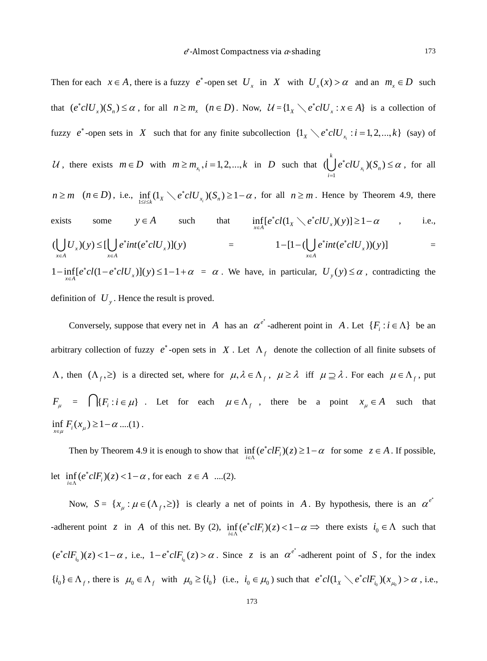Then for each  $x \in A$ , there is a fuzzy  $e^*$ -open set  $U_x$  in  $X$  with  $U_x(x) > \alpha$  and an  $m_x \in D$  such that  $(e^*clU_x)(S_n) \le \alpha$ , for all  $n \ge m_x$   $(n \in D)$ . Now,  $\mathcal{U} = \{1_x \setminus e^*clU_x : x \in A\}$  is a collection of fuzzy *e*<sup>\*</sup>-open sets in *X* such that for any finite subcollection  $\{1_x \setminus e^* c l U_{x_i} : i = 1, 2, ..., k\}$  (say) of U, there exists  $m \in D$  with  $m \ge m_{x_i}$ ,  $i = 1, 2, ..., k$  in D such that  $\left(\bigcup_{i=1}^{\infty} e^* c l U_{x_i}\right)(S_n)$ *k*  $x_i \vee \neg n$ *i*  $e^{\ast}clU_{x_i}(S_n)\leq \alpha$  $\bigcup_{i=1}^{\infty} e^* c l U_{x_i}$   $(S_n) \leq \alpha$ , for all  $n \ge m$   $(n \in D)$ , i.e.,  $\inf_{1 \le i \le k} (1_x \setminus e^* c l U_{x_i})(S_n) \ge 1 - \alpha$ , for all  $n \ge m$ . Hence by Theorem 4.9, there exists some  $y \in A$  such that  $\inf_{x \in A} [e^* cl(1_x \setminus e^* clU_x)(y)] \ge 1 - \alpha$  , i.e.,  $(\bigcup U_x)(y) \leq [\bigcup e^*int(e^*clU_x)](y)$  $x \in A$   $x \in A$  $U_x(y) \leq [\int e^x int(e^* c l U_x)](y)$  $\bigcup_{x \in A} U_x(y) \leq [\bigcup_{x \in A} e^* int(e^* c l U_x)](y)$  =  $1 - [1 - (\bigcup_{x \in A} e^* int(e^* c l U_x))(y)]$  $e^*int(e^*clU_x))(y)$  $-[1-(\bigcup_{x\in A}e^*int(e^*clU_x))(y)] =$  $1-\inf_{x \in A} [e^*cl(1-e^*clU_x)](y) \leq 1-1+\alpha = \alpha$ . We have, in particular,  $U_y(y) \leq \alpha$ , contradicting the

definition of  $U_y$ . Hence the result is proved.

Conversely, suppose that every net in *A* has an  $\alpha^{e^*}$ -adherent point in *A*. Let  $\{F_i : i \in \Lambda\}$  be an arbitrary collection of fuzzy  $e^*$ -open sets in *X*. Let  $\Lambda_f$  denote the collection of all finite subsets of  $\Lambda$ , then  $(\Lambda_f, \geq)$  is a directed set, where for  $\mu, \lambda \in \Lambda_f$ ,  $\mu \geq \lambda$  iff  $\mu \supseteq \lambda$ . For each  $\mu \in \Lambda_f$ , put  $F_{\mu} = \bigcap \{ F_i : i \in \mu \}$ . Let for each  $\mu \in \Lambda_f$ , there be a point  $x_{\mu} \in A$  such that  $\inf_{x \in \mu} F_i(x_\mu) \ge 1 - \alpha \dots (1)$ .

Then by Theorem 4.9 it is enough to show that  $\inf_{i \in \Lambda} (e^* c l F_i)(z) \geq 1 - \alpha$  for some  $z \in A$ . If possible, let  $\inf_{i \in \Lambda} (e^* c l F_i)(z) < 1 - \alpha$ , for each  $z \in A$  ....(2).

Now,  $S = \{x_{\mu} : \mu \in (\Lambda_f, \geq)\}\$ is clearly a net of points in *A*. By hypothesis, there is an  $\alpha^{e^*}$ adherent point *z* in *A* of this net. By (2),  $\inf_{i \in \Lambda} (e^* c l F_i)(z) < 1 - \alpha \implies$  there exists  $i_0 \in \Lambda$  such that  $(e^* c l F_{i_0})(z) < 1 - \alpha$ , i.e.,  $1 - e^* c l F_{i_0}(z) > \alpha$ . Since z is an  $\alpha^{e^*}$ -adherent point of *S*, for the index  $\{i_0\} \in \Lambda_f$ , there is  $\mu_0 \in \Lambda_f$  with  $\mu_0 \geq \{i_0\}$  (i.e.,  $i_0 \in \mu_0$ ) such that  $e^*cl(\lambda_X \setminus e^*clF_{i_0})(x_{\mu_0}) > \alpha$ , i.e.,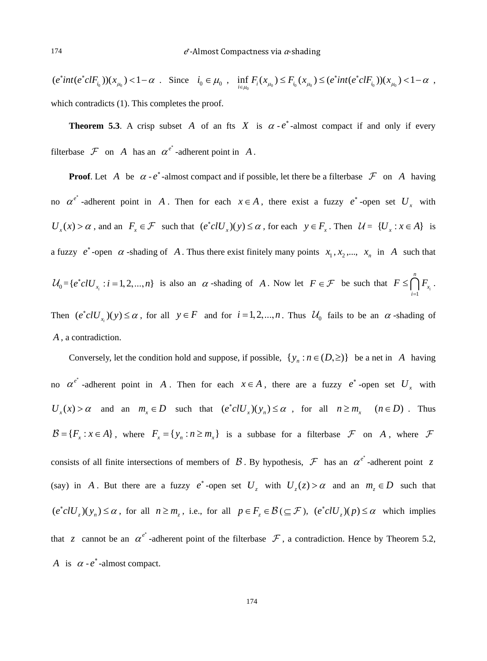$(e^*int(e^*cIF_{i_0}))(x_{\mu_0}) < 1-\alpha$ . Since  $i_0 \in \mu_0$ ,  $\inf_{i \in \mu_0} F_i(x_{\mu_0}) \le F_{i_0}(x_{\mu_0}) \le (e^*int(e^*cIF_{i_0}))(x_{\mu_0}) < 1-\alpha$ , which contradicts (1). This completes the proof.

**Theorem 5.3.** A crisp subset *A* of an fts *X* is  $\alpha \cdot e^*$ -almost compact if and only if every filterbase  $\mathcal F$  on *A* has an  $\alpha^{e^*}$ -adherent point in *A*.

**Proof.** Let *A* be  $\alpha$  -  $e^*$ -almost compact and if possible, let there be a filterbase  $\mathcal{F}$  on *A* having no  $\alpha^{e^*}$  -adherent point in *A*. Then for each  $x \in A$ , there exist a fuzzy  $e^*$ -open set  $U_x$  with  $U_x(x) > \alpha$ , and an  $F_x \in \mathcal{F}$  such that  $(e^* c l U_x)(y) \leq \alpha$ , for each  $y \in F_x$ . Then  $\mathcal{U} = \{U_x : x \in A\}$  is a fuzzy  $e^*$ -open  $\alpha$ -shading of  $A$ . Thus there exist finitely many points  $x_1, x_2, ..., x_n$  in  $A$  such that  $\mathcal{U}_0 = \{ e^* c l U_{x_i} : i = 1, 2, ..., n \}$  is also an  $\alpha$ -shading of *A*. Now let  $F \in \mathcal{F}$  be such that  $F \le \bigcap_{i=1}^n F_{x_i}$ *n*  $F \leq \bigcap_{i=1}^n F_{x_i}$ . *i* = Then  $(e^*c l U_{x_i})(y) \le \alpha$ , for all  $y \in F$  and for  $i = 1, 2, ..., n$ . Thus  $\mathcal{U}_0$  fails to be an  $\alpha$ -shading of *A* , a contradiction.

Conversely, let the condition hold and suppose, if possible,  $\{y_n : n \in (D, \geq)\}\)$  be a net in *A* having no  $\alpha^{e^*}$  -adherent point in *A*. Then for each  $x \in A$ , there are a fuzzy  $e^*$  -open set  $U_x$  with  $U_x(x) > \alpha$  and an  $m_x \in D$  such that  $(e^* c l U_x)(y_n) \leq \alpha$ , for all  $n \geq m_x$   $(n \in D)$ . Thus  ${\cal B} = \{F_x : x \in A\}$ , where  $F_x = \{y_n : n \ge m_x\}$  is a subbase for a filterbase  ${\cal F}$  on  $A$ , where  ${\cal F}$ consists of all finite intersections of members of  $\beta$ . By hypothesis,  $\mathcal F$  has an  $\alpha^{e^*}$ -adherent point z (say) in *A*. But there are a fuzzy  $e^*$ -open set  $U_z$  with  $U_z(z) > \alpha$  and an  $m_z \in D$  such that  $(e^*c l U_z)(y_n) \leq \alpha$ , for all  $n \geq m_z$ , i.e., for all  $p \in F_z \in \mathcal{B}(E \subseteq \mathcal{F})$ ,  $(e^*c l U_z)(p) \leq \alpha$  which implies that *z* cannot be an  $\alpha^{e^*}$ -adherent point of the filterbase  $\mathcal F$ , a contradiction. Hence by Theorem 5.2, *A* is  $\alpha$  -  $e^*$  -almost compact.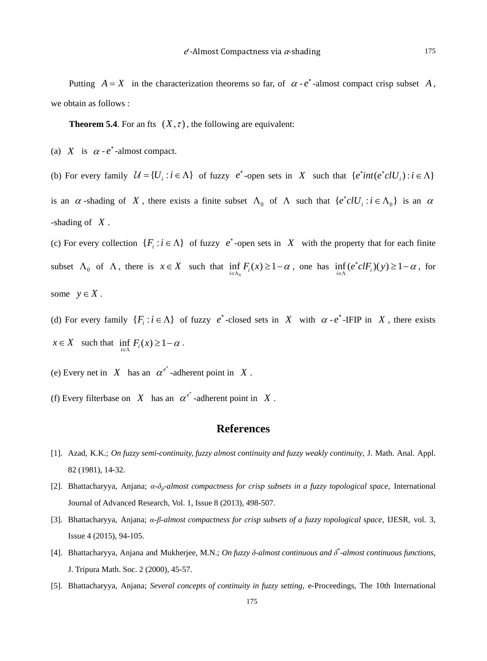Putting  $A = X$  in the characterization theorems so far, of  $\alpha \cdot e^*$ -almost compact crisp subset A, we obtain as follows :

**Theorem 5.4**. For an fts  $(X, \tau)$ , the following are equivalent:

(a) *X* is  $\alpha$  -  $e^*$ -almost compact.

(b) For every family  $\mathcal{U} = \{U_i : i \in \Lambda\}$  of fuzzy  $e^*$ -open sets in *X* such that  $\{e^*int(e^*cUV_i) : i \in \Lambda\}$ is an  $\alpha$ -shading of X, there exists a finite subset  $\Lambda_0$  of  $\Lambda$  such that  $\{e^*clU_i : i \in \Lambda_0\}$  is an  $\alpha$ -shading of *X* .

(c) For every collection  $\{F_i : i \in \Lambda\}$  of fuzzy  $e^*$ -open sets in *X* with the property that for each finite subset  $\Lambda_0$  of  $\Lambda$ , there is  $x \in X$  such that  $\inf_{i \in \Lambda_0} F_i(x) \geq 1 - \alpha$ , one has  $\inf_{i \in \Lambda} (e^* c l F_i)(y) \geq 1 - \alpha$ , for some  $y \in X$ .

(d) For every family  $\{F_i : i \in \Lambda\}$  of fuzzy  $e^*$ -closed sets in *X* with  $\alpha - e^*$ -IFIP in *X*, there exists  $x \in X$  such that  $\inf_{i \in \Lambda} F_i(x) \geq 1 - \alpha$ .

(e) Every net in *X* has an  $\alpha^{e^*}$ -adherent point in *X*.

(f) Every filterbase on *X* has an  $\alpha^{e^*}$  -adherent point in *X*.

## **References**

- [1]. Azad, K.K.; *On fuzzy semi-continuity, fuzzy almost continuity and fuzzy weakly continuity*, J. Math. Anal. Appl. 82 (1981), 14-32.
- [2]. Bhattacharyya, Anjana; *α*-*δp-almost compactness for crisp subsets in a fuzzy topological space*, International Journal of Advanced Research, Vol. 1, Issue 8 (2013), 498-507.
- [3]. Bhattacharyya, Anjana; *α*-*β-almost compactness for crisp subsets of a fuzzy topological space*, IJESR, vol. 3, Issue 4 (2015), 94-105.
- [4]. Bhattacharyya, Anjana and Mukherjee, M.N.; *On fuzzy δ-almost continuous and δ*\* *-almost continuous functions*, J. Tripura Math. Soc. 2 (2000), 45-57.
- [5]. Bhattacharyya, Anjana; *Several concepts of continuity in fuzzy setting*, e-Proceedings, The 10th International